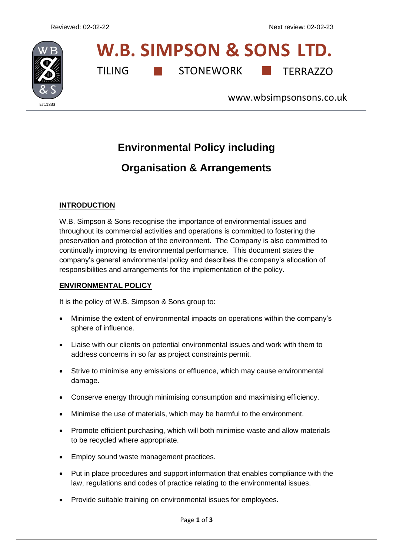

# **W.B. SIMPSON & SONS LTD.** TILING **THE STONEWORK** TERRAZZO

[www.wbsimpsonsons.co.uk](http://www.wbsimpsonsons.co.uk/)

## **Environmental Policy including**

### **Organisation & Arrangements**

#### **INTRODUCTION**

W.B. Simpson & Sons recognise the importance of environmental issues and throughout its commercial activities and operations is committed to fostering the preservation and protection of the environment. The Company is also committed to continually improving its environmental performance. This document states the company's general environmental policy and describes the company's allocation of responsibilities and arrangements for the implementation of the policy.

#### **ENVIRONMENTAL POLICY**

It is the policy of W.B. Simpson & Sons group to:

- Minimise the extent of environmental impacts on operations within the company's sphere of influence.
- Liaise with our clients on potential environmental issues and work with them to address concerns in so far as project constraints permit.
- Strive to minimise any emissions or effluence, which may cause environmental damage.
- Conserve energy through minimising consumption and maximising efficiency.
- Minimise the use of materials, which may be harmful to the environment.
- Promote efficient purchasing, which will both minimise waste and allow materials to be recycled where appropriate.
- Employ sound waste management practices.
- Put in place procedures and support information that enables compliance with the law, regulations and codes of practice relating to the environmental issues.
- Provide suitable training on environmental issues for employees.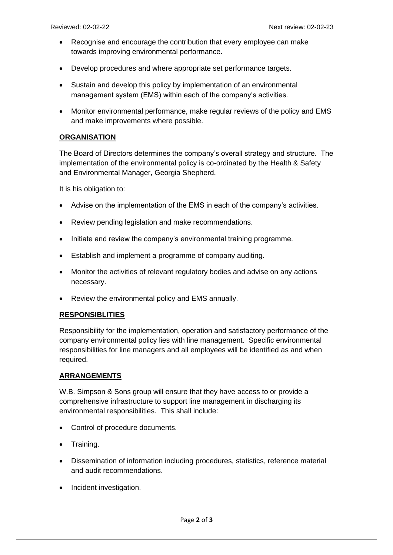- Recognise and encourage the contribution that every employee can make towards improving environmental performance.
- Develop procedures and where appropriate set performance targets.
- Sustain and develop this policy by implementation of an environmental management system (EMS) within each of the company's activities.
- Monitor environmental performance, make regular reviews of the policy and EMS and make improvements where possible.

#### **ORGANISATION**

The Board of Directors determines the company's overall strategy and structure. The implementation of the environmental policy is co-ordinated by the Health & Safety and Environmental Manager, Georgia Shepherd.

It is his obligation to:

- Advise on the implementation of the EMS in each of the company's activities.
- Review pending legislation and make recommendations.
- Initiate and review the company's environmental training programme.
- Establish and implement a programme of company auditing.
- Monitor the activities of relevant regulatory bodies and advise on any actions necessary.
- Review the environmental policy and EMS annually.

#### **RESPONSIBLITIES**

Responsibility for the implementation, operation and satisfactory performance of the company environmental policy lies with line management. Specific environmental responsibilities for line managers and all employees will be identified as and when required.

#### **ARRANGEMENTS**

W.B. Simpson & Sons group will ensure that they have access to or provide a comprehensive infrastructure to support line management in discharging its environmental responsibilities. This shall include:

- Control of procedure documents.
- Training.
- Dissemination of information including procedures, statistics, reference material and audit recommendations.
- Incident investigation.